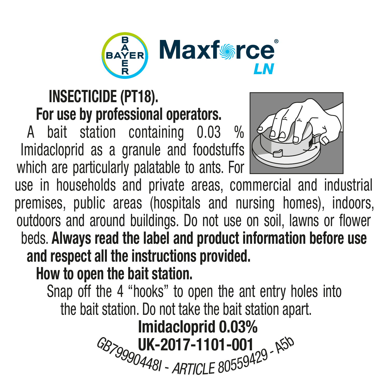

#### INSECTICIDE (PT18). For use by professional operators.

A bait station containing 0.03 Imidacloprid as a granule and foodstuffs which are particularly palatable to ants. For



use in households and private areas, commercial and industrial premises, public areas (hospitals and nursing homes), indoors, outdoors and around buildings. Do not use on soil, lawns or flower beds. Always read the label and product information before use and respect all the instructions provided.

How to open the bait station.

Snap off the 4 "hooks" to open the ant entry holes into the bait station. Do not take the bait station apart.

<sup>G</sup>B79990448<sup>I</sup> - *<sup>A</sup>RTICL<sup>E</sup> <sup>8</sup>055942<sup>9</sup>* - <sup>A</sup>5<sup>b</sup> UK-2017-1101-001Imidacloprid 0.03%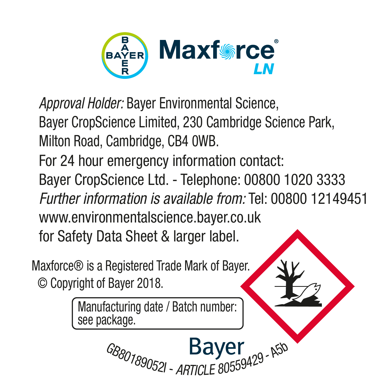

*Approval Holder:* Bayer Environmental Science, Bayer CropScience Limited, 230 Cambridge Science Park, Milton Road, Cambridge, CB4 0WB.

For 24 hour emergency information contact: Bayer CropScience Ltd. - Telephone: 00800 1020 3333 *Further information is available from:* Tel: 00800 12149451 www.environmentalscience.bayer.co.uk for Safety Data Sheet & larger label.

<sup>G</sup>B80189052<sup>I</sup> - *<sup>A</sup>RTICL<sup>E</sup> <sup>8</sup>055942<sup>9</sup>* - <sup>A</sup>5<sup>b</sup>

Maxforce® is a Registered Trade Mark of Bayer. © Copyright of Bayer 2018.

> Manufacturing date / Batch number: see package.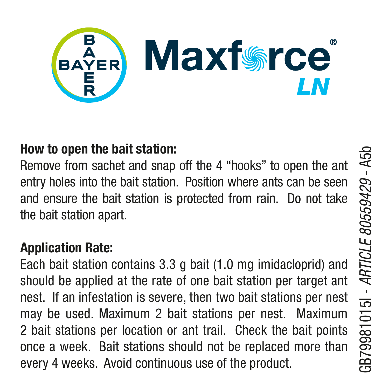

#### How to open the bait station:

Remove from sachet and snap off the 4 "hooks" to open the ant entry holes into the bait station. Position where ants can be seen and ensure the bait station is protected from rain. Do not take the bait station apart.

#### Application Rate:

Each bait station contains 3.3 g bait (1.0 mg imidacloprid) and should be applied at the rate of one bait station per target ant nest. If an infestation is severe, then two bait stations per nest may be used. Maximum 2 bait stations per nest. Maximum 2 bait stations per location or ant trail. Check the bait points once a week. Bait stations should not be replaced more than every 4 weeks. Avoid continuous use of the product.